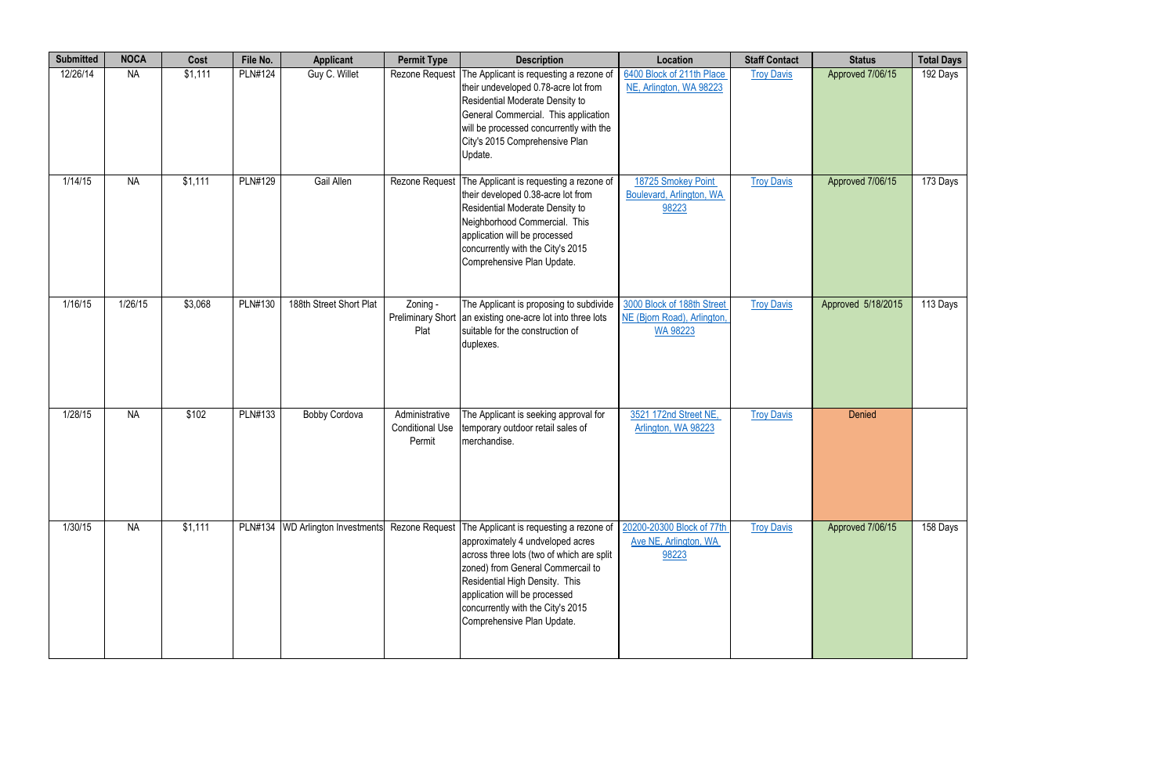| <b>Submitted</b> | <b>NOCA</b> | Cost    | File No.       | <b>Applicant</b>                   | <b>Permit Type</b>                                 | <b>Description</b>                                                                                                                                                                                                                                                                                                   | Location                                                                     | <b>Staff Contact</b> | <b>Status</b>      | <b>Total Days</b> |
|------------------|-------------|---------|----------------|------------------------------------|----------------------------------------------------|----------------------------------------------------------------------------------------------------------------------------------------------------------------------------------------------------------------------------------------------------------------------------------------------------------------------|------------------------------------------------------------------------------|----------------------|--------------------|-------------------|
| 12/26/14         | <b>NA</b>   | \$1,111 | <b>PLN#124</b> | Guy C. Willet                      | <b>Rezone Request</b>                              | The Applicant is requesting a rezone of<br>their undeveloped 0.78-acre lot from<br>Residential Moderate Density to<br>General Commercial. This application<br>will be processed concurrently with the<br>City's 2015 Comprehensive Plan<br>Update.                                                                   | 6400 Block of 211th Place<br>NE, Arlington, WA 98223                         | <b>Troy Davis</b>    | Approved 7/06/15   | 192 Days          |
| 1/14/15          | <b>NA</b>   | \$1,111 | <b>PLN#129</b> | Gail Allen                         | Rezone Request                                     | The Applicant is requesting a rezone of<br>their developed 0.38-acre lot from<br>Residential Moderate Density to<br>Neighborhood Commercial. This<br>application will be processed<br>concurrently with the City's 2015<br>Comprehensive Plan Update.                                                                | 18725 Smokey Point<br>Boulevard, Arlington, WA<br>98223                      | <b>Troy Davis</b>    | Approved 7/06/15   | 173 Days          |
| 1/16/15          | 1/26/15     | \$3,068 | <b>PLN#130</b> | 188th Street Short Plat            | Zoning -<br>Plat                                   | The Applicant is proposing to subdivide<br>Preliminary Short an existing one-acre lot into three lots<br>suitable for the construction of<br>duplexes.                                                                                                                                                               | 3000 Block of 188th Street<br>NE (Bjorn Road), Arlington,<br><b>WA 98223</b> | <b>Troy Davis</b>    | Approved 5/18/2015 | 113 Days          |
| 1/28/15          | <b>NA</b>   | \$102   | <b>PLN#133</b> | <b>Bobby Cordova</b>               | Administrative<br><b>Conditional Use</b><br>Permit | The Applicant is seeking approval for<br>temporary outdoor retail sales of<br>merchandise.                                                                                                                                                                                                                           | 3521 172nd Street NE,<br>Arlington, WA 98223                                 | <b>Troy Davis</b>    | Denied             |                   |
| 1/30/15          | <b>NA</b>   | \$1,111 |                | PLN#134   WD Arlington Investments |                                                    | Rezone Request   The Applicant is requesting a rezone of<br>approximately 4 undveloped acres<br>across three lots (two of which are split<br>zoned) from General Commercail to<br>Residential High Density. This<br>application will be processed<br>concurrently with the City's 2015<br>Comprehensive Plan Update. | 20200-20300 Block of 77th<br>Ave NE, Arlington, WA<br>98223                  | <b>Troy Davis</b>    | Approved 7/06/15   | 158 Days          |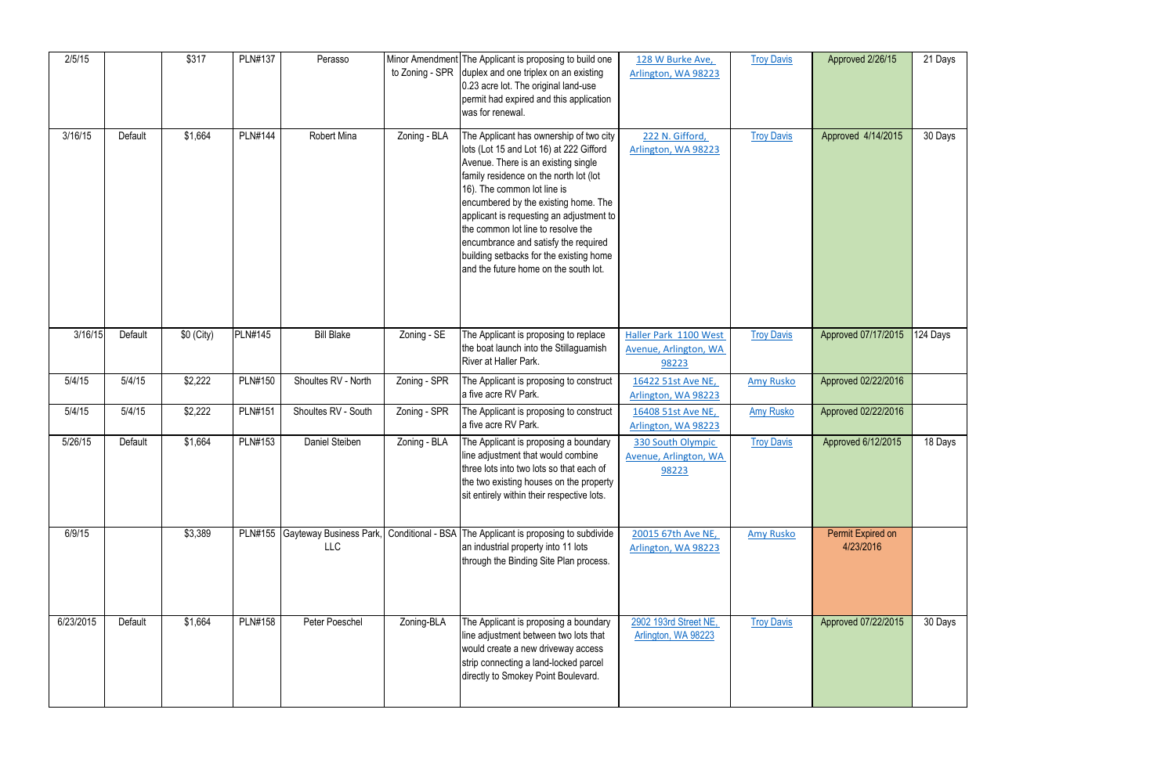| 2/5/15    |         | \$317       | <b>PLN#137</b> | Perasso                                       | to Zoning - SPR | Minor Amendment The Applicant is proposing to build one<br>duplex and one triplex on an existing<br>0.23 acre lot. The original land-use<br>permit had expired and this application<br>was for renewal.                                                                                                                                                                                                                                                  | 128 W Burke Ave,<br>Arlington, WA 98223                 | <b>Troy Davis</b> | Approved 2/26/15               | 21 Days  |
|-----------|---------|-------------|----------------|-----------------------------------------------|-----------------|----------------------------------------------------------------------------------------------------------------------------------------------------------------------------------------------------------------------------------------------------------------------------------------------------------------------------------------------------------------------------------------------------------------------------------------------------------|---------------------------------------------------------|-------------------|--------------------------------|----------|
| 3/16/15   | Default | \$1,664     | <b>PLN#144</b> | Robert Mina                                   | Zoning - BLA    | The Applicant has ownership of two city<br>lots (Lot 15 and Lot 16) at 222 Gifford<br>Avenue. There is an existing single<br>family residence on the north lot (lot<br>16). The common lot line is<br>encumbered by the existing home. The<br>applicant is requesting an adjustment to<br>the common lot line to resolve the<br>encumbrance and satisfy the required<br>building setbacks for the existing home<br>and the future home on the south lot. | 222 N. Gifford,<br>Arlington, WA 98223                  | <b>Troy Davis</b> | Approved 4/14/2015             | 30 Days  |
| 3/16/15   | Default | $$0$ (City) | <b>PLN#145</b> | <b>Bill Blake</b>                             | Zoning - SE     | The Applicant is proposing to replace<br>the boat launch into the Stillaguamish<br>River at Haller Park.                                                                                                                                                                                                                                                                                                                                                 | Haller Park 1100 West<br>Avenue, Arlington, WA<br>98223 | <b>Troy Davis</b> | Approved 07/17/2015            | 124 Days |
| 5/4/15    | 5/4/15  | \$2,222     | <b>PLN#150</b> | Shoultes RV - North                           | Zoning - SPR    | The Applicant is proposing to construct<br>a five acre RV Park.                                                                                                                                                                                                                                                                                                                                                                                          | 16422 51st Ave NE,<br>Arlington, WA 98223               | <b>Amy Rusko</b>  | Approved 02/22/2016            |          |
| 5/4/15    | 5/4/15  | \$2,222     | <b>PLN#151</b> | Shoultes RV - South                           | Zoning - SPR    | The Applicant is proposing to construct<br>a five acre RV Park.                                                                                                                                                                                                                                                                                                                                                                                          | 16408 51st Ave NE,<br>Arlington, WA 98223               | <b>Amy Rusko</b>  | Approved 02/22/2016            |          |
| 5/26/15   | Default | \$1,664     | <b>PLN#153</b> | Daniel Steiben                                | Zoning - BLA    | The Applicant is proposing a boundary<br>line adjustment that would combine<br>three lots into two lots so that each of<br>the two existing houses on the property<br>sit entirely within their respective lots.                                                                                                                                                                                                                                         | 330 South Olympic<br>Avenue, Arlington, WA<br>98223     | <b>Troy Davis</b> | Approved 6/12/2015             | 18 Days  |
| 6/9/15    |         | \$3,389     |                | PLN#155 Gayteway Business Park,<br><b>LLC</b> |                 | Conditional - BSA The Applicant is proposing to subdivide<br>an industrial property into 11 lots<br>through the Binding Site Plan process.                                                                                                                                                                                                                                                                                                               | 20015 67th Ave NE,<br>Arlington, WA 98223               | <b>Amy Rusko</b>  | Permit Expired on<br>4/23/2016 |          |
| 6/23/2015 | Default | \$1,664     | <b>PLN#158</b> | Peter Poeschel                                | Zoning-BLA      | The Applicant is proposing a boundary<br>line adjustment between two lots that<br>would create a new driveway access<br>strip connecting a land-locked parcel<br>directly to Smokey Point Boulevard.                                                                                                                                                                                                                                                     | 2902 193rd Street NE,<br>Arlington, WA 98223            | <b>Troy Davis</b> | Approved 07/22/2015            | 30 Days  |